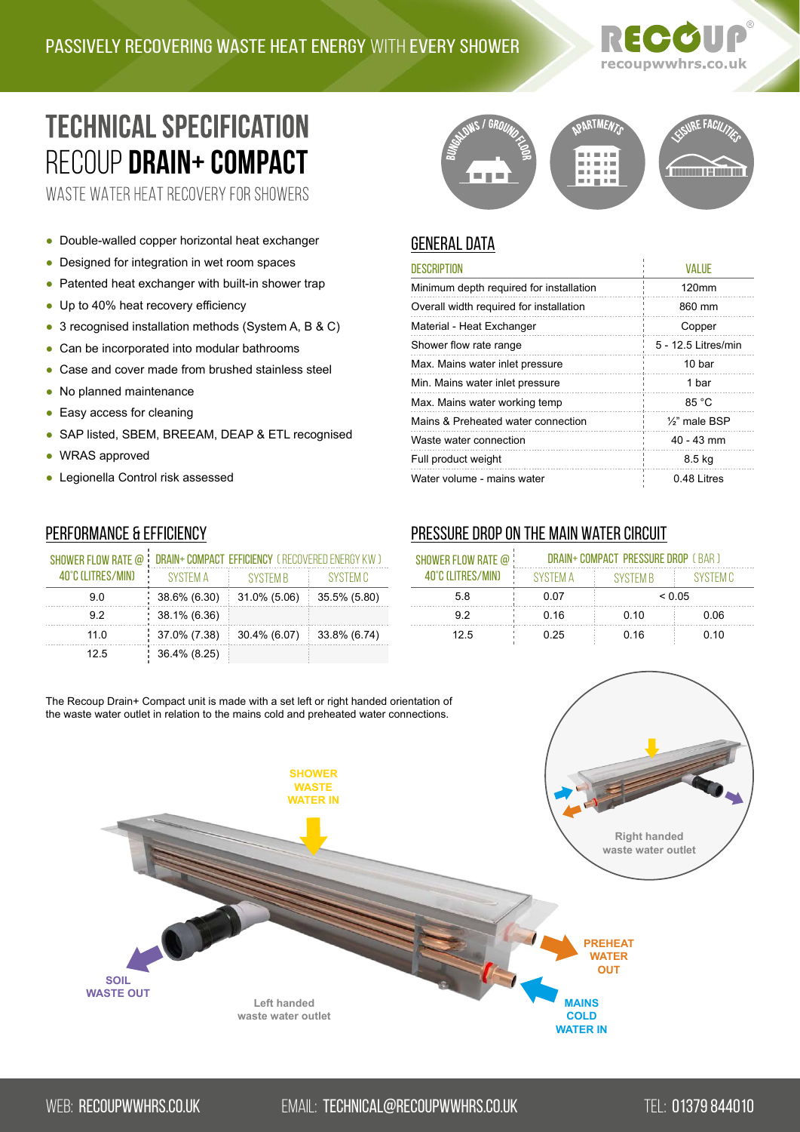# recoupwwhrs.co.uk

# **TECHNICAL SPECIFICATION** RECOUP **[Drain+ Compact](https://recoupwwhrs.co.uk/products/drain-range/drain-compact/)**

WASTE WATER HEAT RECOVERY FOR SHOWERS

- Double-walled copper horizontal heat exchanger
- Designed for integration in wet room spaces
- Patented heat exchanger with built-in shower trap
- Up to 40% heat recovery efficiency
- 3 recognised installation methods (System A, B & C)
- Can be incorporated into modular bathrooms
- Case and cover made from brushed stainless steel
- No planned maintenance
- Easy access for cleaning
- SAP listed, SBEM, BREEAM, DEAP & ETL recognised
- WRAS approved
- Legionella Control risk assessed

## Performance & Efficiency

| SHOWER FLOW RATE @ | DRAIN+ COMPACT EFFICIENCY (RECOVERED ENERGY KW) |              |              |  |
|--------------------|-------------------------------------------------|--------------|--------------|--|
| 40°C (LITRES/MIN)  | SYSTEM A                                        | SYSTEM B     | SYSTEM C     |  |
| 9 O                | 38.6% (6.30)                                    | 31.0% (5.06) | 35.5% (5.80) |  |
| 92                 | 38.1% (6.36)                                    |              |              |  |
| 11.0               | 37.0% (7.38)                                    | 30.4% (6.07) | 33.8% (6.74) |  |
| 12.5               | 36.4% (8.25)                                    |              |              |  |



### general data

| <b>DESCRIPTION</b>                      | <b>VALUE</b>               |
|-----------------------------------------|----------------------------|
| Minimum depth required for installation | 120mm                      |
| Overall width required for installation | 860 mm                     |
| Material - Heat Exchanger               | Copper                     |
| Shower flow rate range                  | 5 - 12.5 Litres/min        |
| Max. Mains water inlet pressure         | 10 bar                     |
| Min. Mains water inlet pressure         | 1 bar                      |
| Max. Mains water working temp           | 85 °C                      |
| Mains & Preheated water connection      | 1/ <sub>2</sub> " male BSP |
| Waste water connection                  | $40 - 43$ mm               |
| Full product weight                     | 8.5 kg                     |
| Water volume - mains water              | 0.48 Litres                |

### Pressure drop on the main water circuit

| SHOWER FLOW RATE @<br>40°C (I ITRES/MIN) | <b>DRAIN+ COMPACT PRESSURE DROP (BAR)</b> |          |          |  |
|------------------------------------------|-------------------------------------------|----------|----------|--|
|                                          | SYSTEM A                                  | SYSTEM B | SYSTEM C |  |
| 58                                       | 0.07                                      | < 0.05   |          |  |
| 92                                       | 0 16                                      | 0.10     | 0.06     |  |
| 12.5                                     | 0.25                                      | 0.16     | 0.10     |  |

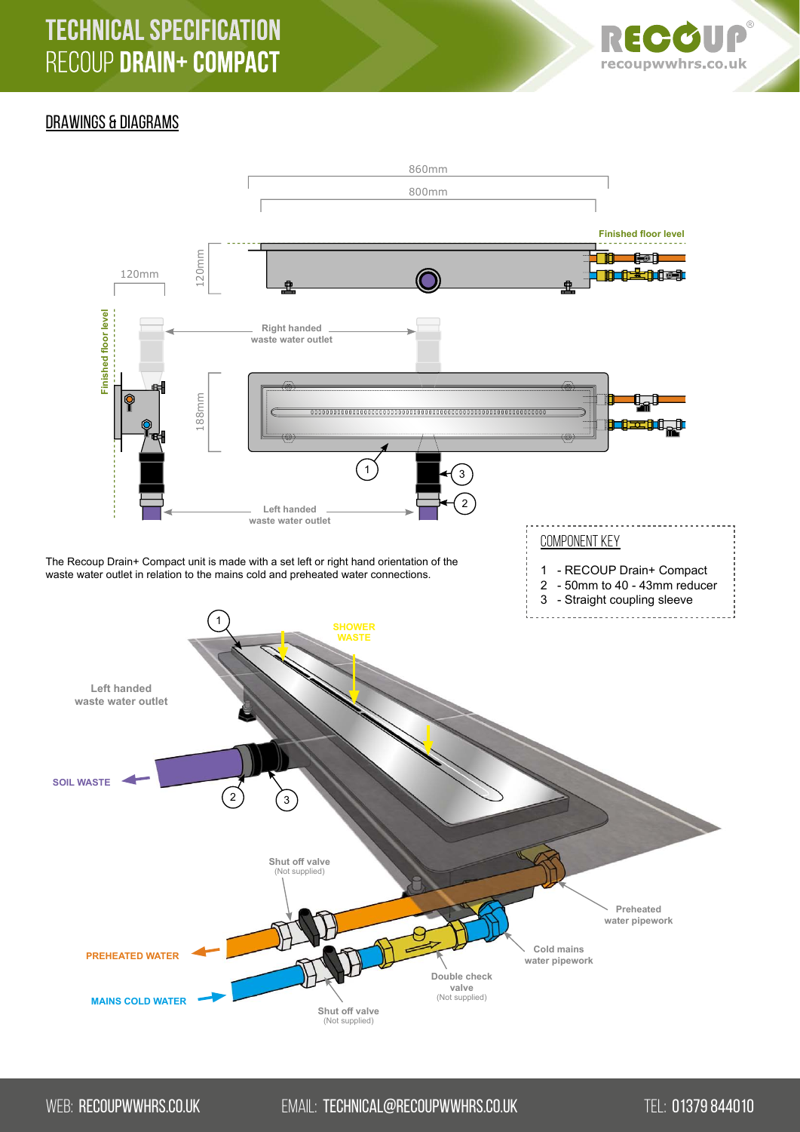# **TECHNICAL SPECIFICATION** RECOUP DRAIN+ COMPACT



#### DRAWINGS & DIAGRAMS



WEB: RECOUPWWHRS.CO.UK EMAIL: TECHNICAL@RECOUPWWHRS.CO.UK TEL: [01379 844010](http://tel:+441379844010)